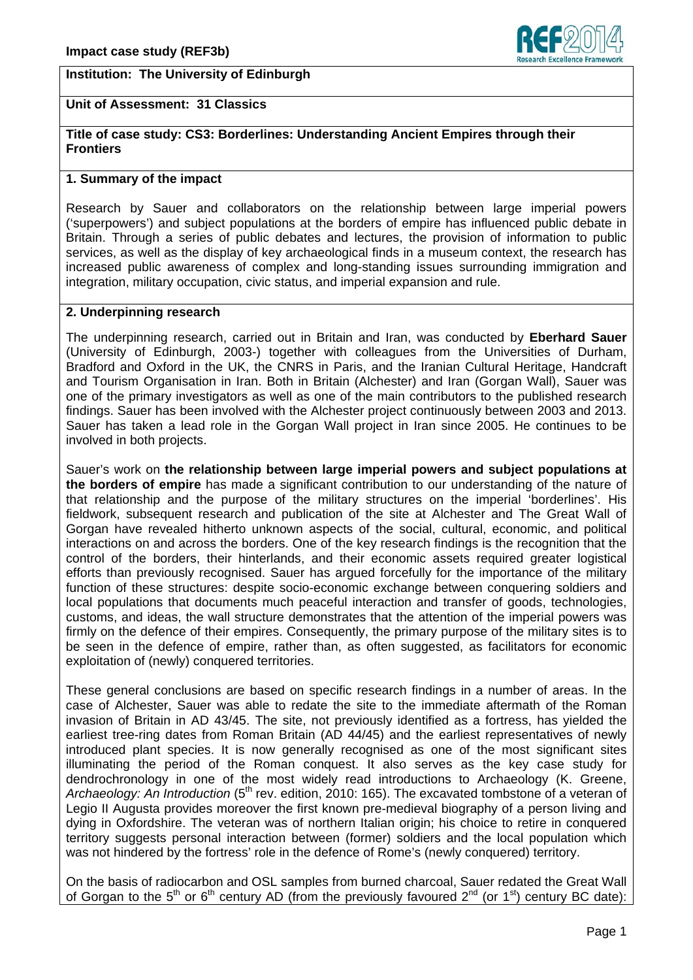## **Institution: The University of Edinburgh**



# **Unit of Assessment: 31 Classics**

### **Title of case study: CS3: Borderlines: Understanding Ancient Empires through their Frontiers**

### **1. Summary of the impact**

Research by Sauer and collaborators on the relationship between large imperial powers ('superpowers') and subject populations at the borders of empire has influenced public debate in Britain. Through a series of public debates and lectures, the provision of information to public services, as well as the display of key archaeological finds in a museum context, the research has increased public awareness of complex and long-standing issues surrounding immigration and integration, military occupation, civic status, and imperial expansion and rule.

### **2. Underpinning research**

The underpinning research, carried out in Britain and Iran, was conducted by **Eberhard Sauer** (University of Edinburgh, 2003-) together with colleagues from the Universities of Durham, Bradford and Oxford in the UK, the CNRS in Paris, and the Iranian Cultural Heritage, Handcraft and Tourism Organisation in Iran. Both in Britain (Alchester) and Iran (Gorgan Wall), Sauer was one of the primary investigators as well as one of the main contributors to the published research findings. Sauer has been involved with the Alchester project continuously between 2003 and 2013. Sauer has taken a lead role in the Gorgan Wall project in Iran since 2005. He continues to be involved in both projects.

Sauer's work on **the relationship between large imperial powers and subject populations at the borders of empire** has made a significant contribution to our understanding of the nature of that relationship and the purpose of the military structures on the imperial 'borderlines'. His fieldwork, subsequent research and publication of the site at Alchester and The Great Wall of Gorgan have revealed hitherto unknown aspects of the social, cultural, economic, and political interactions on and across the borders. One of the key research findings is the recognition that the control of the borders, their hinterlands, and their economic assets required greater logistical efforts than previously recognised. Sauer has argued forcefully for the importance of the military function of these structures: despite socio-economic exchange between conquering soldiers and local populations that documents much peaceful interaction and transfer of goods, technologies, customs, and ideas, the wall structure demonstrates that the attention of the imperial powers was firmly on the defence of their empires. Consequently, the primary purpose of the military sites is to be seen in the defence of empire, rather than, as often suggested, as facilitators for economic exploitation of (newly) conquered territories.

These general conclusions are based on specific research findings in a number of areas. In the case of Alchester, Sauer was able to redate the site to the immediate aftermath of the Roman invasion of Britain in AD 43/45. The site, not previously identified as a fortress, has yielded the earliest tree-ring dates from Roman Britain (AD 44/45) and the earliest representatives of newly introduced plant species. It is now generally recognised as one of the most significant sites illuminating the period of the Roman conquest. It also serves as the key case study for dendrochronology in one of the most widely read introductions to Archaeology (K. Greene, Archaeology: An Introduction (5<sup>th</sup> rev. edition, 2010: 165). The excavated tombstone of a veteran of Legio II Augusta provides moreover the first known pre-medieval biography of a person living and dying in Oxfordshire. The veteran was of northern Italian origin; his choice to retire in conquered territory suggests personal interaction between (former) soldiers and the local population which was not hindered by the fortress' role in the defence of Rome's (newly conquered) territory.

On the basis of radiocarbon and OSL samples from burned charcoal, Sauer redated the Great Wall of Gorgan to the 5<sup>th</sup> or 6<sup>th</sup> century AD (from the previously favoured  $2^{nd}$  (or 1<sup>st</sup>) century BC date):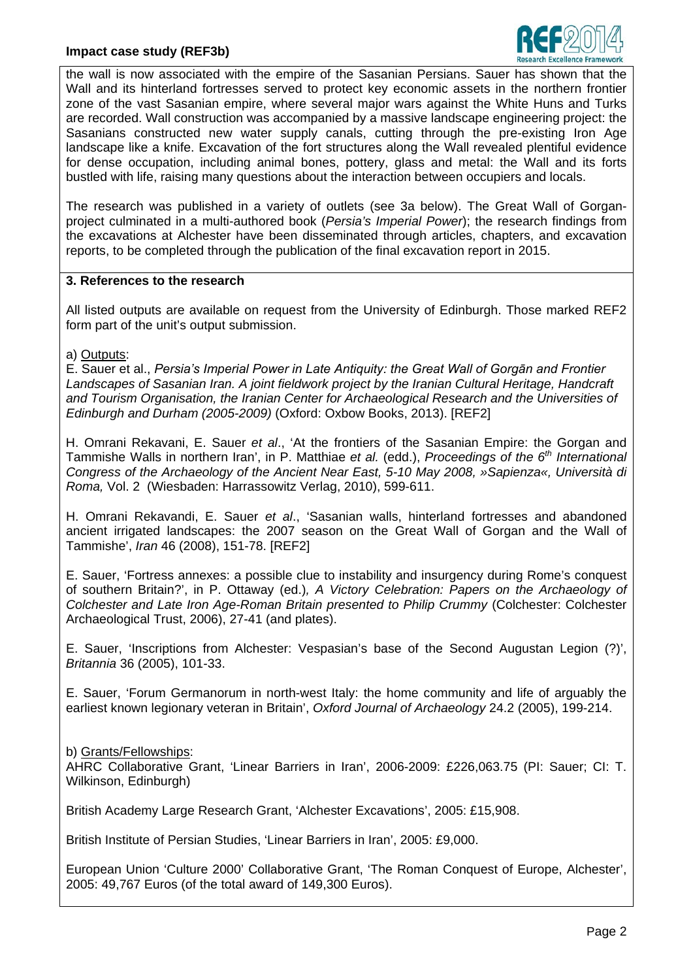

the wall is now associated with the empire of the Sasanian Persians. Sauer has shown that the Wall and its hinterland fortresses served to protect key economic assets in the northern frontier zone of the vast Sasanian empire, where several major wars against the White Huns and Turks are recorded. Wall construction was accompanied by a massive landscape engineering project: the Sasanians constructed new water supply canals, cutting through the pre-existing Iron Age landscape like a knife. Excavation of the fort structures along the Wall revealed plentiful evidence for dense occupation, including animal bones, pottery, glass and metal: the Wall and its forts bustled with life, raising many questions about the interaction between occupiers and locals.

The research was published in a variety of outlets (see 3a below). The Great Wall of Gorganproject culminated in a multi-authored book (*Persia's Imperial Power*); the research findings from the excavations at Alchester have been disseminated through articles, chapters, and excavation reports, to be completed through the publication of the final excavation report in 2015.

### **3. References to the research**

All listed outputs are available on request from the University of Edinburgh. Those marked REF2 form part of the unit's output submission.

a) Outputs:

E. Sauer et al., *Persia's Imperial Power in Late Antiquity: the Great Wall of Gorgān and Frontier Landscapes of Sasanian Iran. A joint fieldwork project by the Iranian Cultural Heritage, Handcraft and Tourism Organisation, the Iranian Center for Archaeological Research and the Universities of Edinburgh and Durham (2005-2009)* (Oxford: Oxbow Books, 2013). [REF2]

H. Omrani Rekavani, E. Sauer *et al*., 'At the frontiers of the Sasanian Empire: the Gorgan and Tammishe Walls in northern Iran', in P. Matthiae *et al.* (edd.), *Proceedings of the 6th International Congress of the Archaeology of the Ancient Near East, 5-10 May 2008, »Sapienza«, Università di Roma,* Vol. 2 (Wiesbaden: Harrassowitz Verlag, 2010), 599-611.

H. Omrani Rekavandi, E. Sauer *et al*., 'Sasanian walls, hinterland fortresses and abandoned ancient irrigated landscapes: the 2007 season on the Great Wall of Gorgan and the Wall of Tammishe', *Iran* 46 (2008), 151-78. [REF2]

E. Sauer, 'Fortress annexes: a possible clue to instability and insurgency during Rome's conquest of southern Britain?', in P. Ottaway (ed.)*, A Victory Celebration: Papers on the Archaeology of Colchester and Late Iron Age-Roman Britain presented to Philip Crummy* (Colchester: Colchester Archaeological Trust, 2006), 27-41 (and plates).

E. Sauer, 'Inscriptions from Alchester: Vespasian's base of the Second Augustan Legion (?)', *Britannia* 36 (2005), 101-33.

E. Sauer, 'Forum Germanorum in north-west Italy: the home community and life of arguably the earliest known legionary veteran in Britain', *Oxford Journal of Archaeology* 24.2 (2005), 199-214.

#### b) Grants/Fellowships:

AHRC Collaborative Grant, 'Linear Barriers in Iran', 2006-2009: £226,063.75 (PI: Sauer; CI: T. Wilkinson, Edinburgh)

British Academy Large Research Grant, 'Alchester Excavations', 2005: £15,908.

British Institute of Persian Studies, 'Linear Barriers in Iran', 2005: £9,000.

European Union 'Culture 2000' Collaborative Grant, 'The Roman Conquest of Europe, Alchester', 2005: 49,767 Euros (of the total award of 149,300 Euros).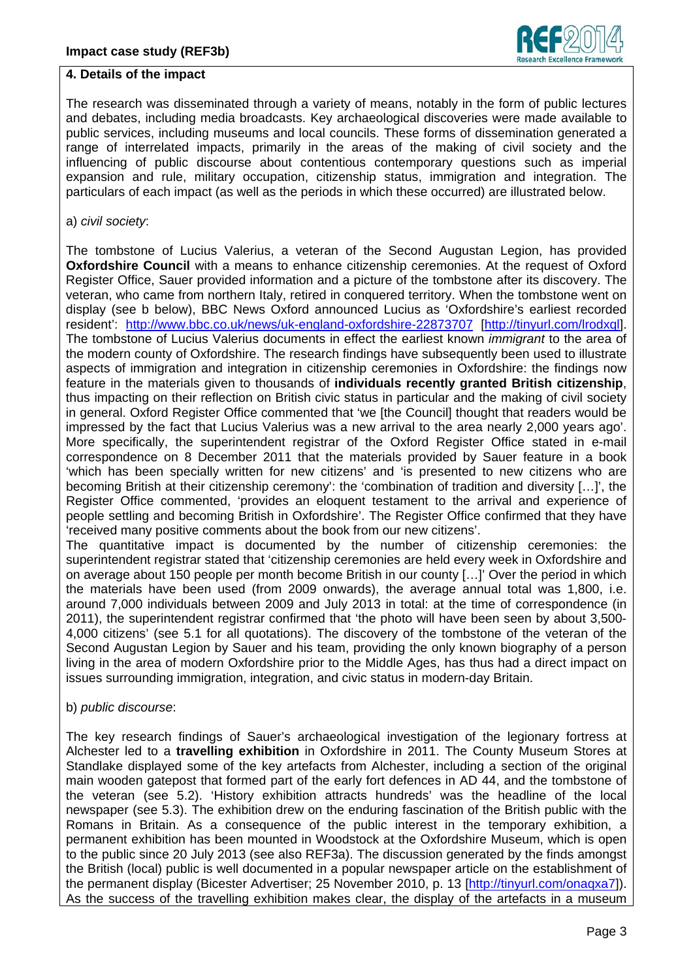

#### **4. Details of the impact**

The research was disseminated through a variety of means, notably in the form of public lectures and debates, including media broadcasts. Key archaeological discoveries were made available to public services, including museums and local councils. These forms of dissemination generated a range of interrelated impacts, primarily in the areas of the making of civil society and the influencing of public discourse about contentious contemporary questions such as imperial expansion and rule, military occupation, citizenship status, immigration and integration. The particulars of each impact (as well as the periods in which these occurred) are illustrated below.

#### a) *civil society*:

The tombstone of Lucius Valerius, a veteran of the Second Augustan Legion, has provided **Oxfordshire Council** with a means to enhance citizenship ceremonies. At the request of Oxford Register Office, Sauer provided information and a picture of the tombstone after its discovery. The veteran, who came from northern Italy, retired in conquered territory. When the tombstone went on display (see b below), BBC News Oxford announced Lucius as 'Oxfordshire's earliest recorded resident': <http://www.bbc.co.uk/news/uk-england-oxfordshire-22873707> [\[http://tinyurl.com/lrodxql\]](http://tinyurl.com/lrodxql). The tombstone of Lucius Valerius documents in effect the earliest known *immigrant* to the area of the modern county of Oxfordshire. The research findings have subsequently been used to illustrate aspects of immigration and integration in citizenship ceremonies in Oxfordshire: the findings now feature in the materials given to thousands of **individuals recently granted British citizenship**, thus impacting on their reflection on British civic status in particular and the making of civil society in general. Oxford Register Office commented that 'we [the Council] thought that readers would be impressed by the fact that Lucius Valerius was a new arrival to the area nearly 2,000 years ago'. More specifically, the superintendent registrar of the Oxford Register Office stated in e-mail correspondence on 8 December 2011 that the materials provided by Sauer feature in a book 'which has been specially written for new citizens' and 'is presented to new citizens who are becoming British at their citizenship ceremony': the 'combination of tradition and diversity […]', the Register Office commented, 'provides an eloquent testament to the arrival and experience of people settling and becoming British in Oxfordshire'. The Register Office confirmed that they have 'received many positive comments about the book from our new citizens'.

The quantitative impact is documented by the number of citizenship ceremonies: the superintendent registrar stated that 'citizenship ceremonies are held every week in Oxfordshire and on average about 150 people per month become British in our county […]' Over the period in which the materials have been used (from 2009 onwards), the average annual total was 1,800, i.e. around 7,000 individuals between 2009 and July 2013 in total: at the time of correspondence (in 2011), the superintendent registrar confirmed that 'the photo will have been seen by about 3,500- 4,000 citizens' (see 5.1 for all quotations). The discovery of the tombstone of the veteran of the Second Augustan Legion by Sauer and his team, providing the only known biography of a person living in the area of modern Oxfordshire prior to the Middle Ages, has thus had a direct impact on issues surrounding immigration, integration, and civic status in modern-day Britain.

#### b) *public discourse*:

The key research findings of Sauer's archaeological investigation of the legionary fortress at Alchester led to a **travelling exhibition** in Oxfordshire in 2011. The County Museum Stores at Standlake displayed some of the key artefacts from Alchester, including a section of the original main wooden gatepost that formed part of the early fort defences in AD 44, and the tombstone of the veteran (see 5.2). 'History exhibition attracts hundreds' was the headline of the local newspaper (see 5.3). The exhibition drew on the enduring fascination of the British public with the Romans in Britain. As a consequence of the public interest in the temporary exhibition, a permanent exhibition has been mounted in Woodstock at the Oxfordshire Museum, which is open to the public since 20 July 2013 (see also REF3a). The discussion generated by the finds amongst the British (local) public is well documented in a popular newspaper article on the establishment of the permanent display (Bicester Advertiser; 25 November 2010, p. 13 [\[http://tinyurl.com/onaqxa7\]](http://tinyurl.com/onaqxa7)). As the success of the travelling exhibition makes clear, the display of the artefacts in a museum